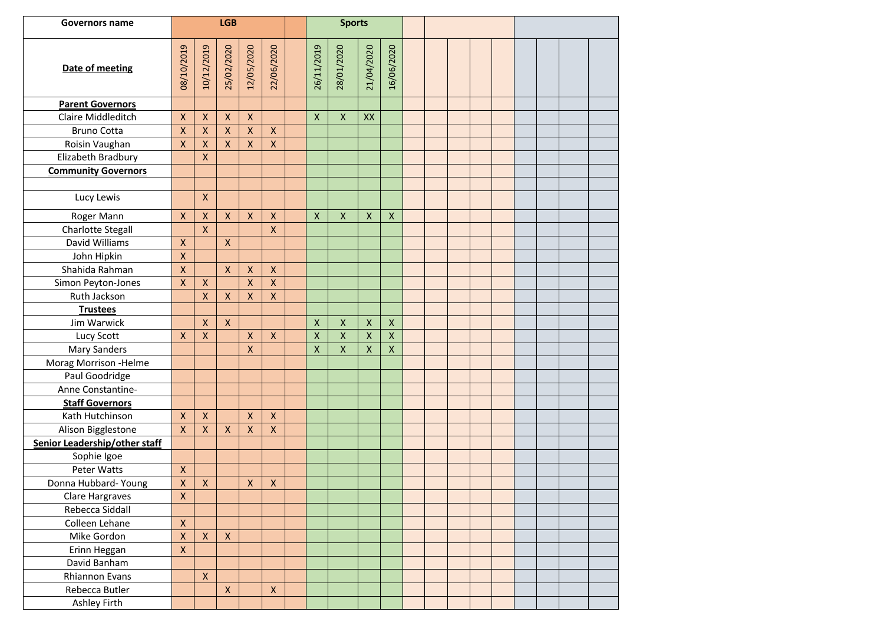| <b>Governors name</b>         | <b>LGB</b>                |                           |                           |                    |                    |                    | <b>Sports</b>      |                    |                           |  |  |  |  |  |  |
|-------------------------------|---------------------------|---------------------------|---------------------------|--------------------|--------------------|--------------------|--------------------|--------------------|---------------------------|--|--|--|--|--|--|
| Date of meeting               | 08/10/2019                | 10/12/2019                | 25/02/2020                | 12/05/2020         | 22/06/2020         | 26/11/2019         | 28/01/2020         | 21/04/2020         | 16/06/2020                |  |  |  |  |  |  |
| <b>Parent Governors</b>       |                           |                           |                           |                    |                    |                    |                    |                    |                           |  |  |  |  |  |  |
| Claire Middleditch            | $\pmb{\mathsf{X}}$        | $\pmb{\mathsf{X}}$        | $\pmb{\mathsf{X}}$        | $\pmb{\mathsf{X}}$ |                    | $\pmb{\times}$     | $\pmb{\mathsf{X}}$ | XX                 |                           |  |  |  |  |  |  |
| <b>Bruno Cotta</b>            | $\mathsf{\overline{X}}$   | $\pmb{\mathsf{X}}$        | $\pmb{\mathsf{X}}$        | $\pmb{\mathsf{X}}$ | $\pmb{\mathsf{X}}$ |                    |                    |                    |                           |  |  |  |  |  |  |
| Roisin Vaughan                | $\mathsf{X}$              | $\pmb{\mathsf{X}}$        | $\mathsf X$               | $\mathsf X$        | $\pmb{\mathsf{X}}$ |                    |                    |                    |                           |  |  |  |  |  |  |
| Elizabeth Bradbury            |                           | $\overline{\mathsf{x}}$   |                           |                    |                    |                    |                    |                    |                           |  |  |  |  |  |  |
| <b>Community Governors</b>    |                           |                           |                           |                    |                    |                    |                    |                    |                           |  |  |  |  |  |  |
|                               |                           |                           |                           |                    |                    |                    |                    |                    |                           |  |  |  |  |  |  |
| Lucy Lewis                    |                           | Χ                         |                           |                    |                    |                    |                    |                    |                           |  |  |  |  |  |  |
| Roger Mann                    | $\pmb{\mathsf{X}}$        | $\pmb{\mathsf{X}}$        | $\pmb{\mathsf{X}}$        | $\mathsf X$        | $\pmb{\mathsf{X}}$ | $\pmb{\mathsf{X}}$ | $\pmb{\mathsf{X}}$ | $\mathsf{X}$       | $\boldsymbol{\mathsf{X}}$ |  |  |  |  |  |  |
| <b>Charlotte Stegall</b>      |                           | $\bar{\mathsf{X}}$        |                           |                    | $\pmb{\mathsf{X}}$ |                    |                    |                    |                           |  |  |  |  |  |  |
| David Williams                | $\pmb{\times}$            |                           | $\pmb{\mathsf{X}}$        |                    |                    |                    |                    |                    |                           |  |  |  |  |  |  |
| John Hipkin                   | $\mathsf{X}$              |                           |                           |                    |                    |                    |                    |                    |                           |  |  |  |  |  |  |
| Shahida Rahman                | $\mathsf{X}$              |                           | $\mathsf{X}$              | $\pmb{\mathsf{X}}$ | $\pmb{\mathsf{X}}$ |                    |                    |                    |                           |  |  |  |  |  |  |
| Simon Peyton-Jones            | $\overline{\mathsf{x}}$   | $\pmb{\mathsf{X}}$        |                           | $\pmb{\mathsf{X}}$ | $\pmb{\mathsf{X}}$ |                    |                    |                    |                           |  |  |  |  |  |  |
| Ruth Jackson                  |                           | $\pmb{\mathsf{X}}$        | $\pmb{\mathsf{X}}$        | $\pmb{\mathsf{X}}$ | X                  |                    |                    |                    |                           |  |  |  |  |  |  |
| <b>Trustees</b>               |                           |                           |                           |                    |                    |                    |                    |                    |                           |  |  |  |  |  |  |
| Jim Warwick                   |                           | Χ                         | $\boldsymbol{\mathsf{X}}$ |                    |                    | $\pmb{\mathsf{X}}$ | $\pmb{\mathsf{X}}$ | $\mathsf{X}$       | $\pmb{\times}$            |  |  |  |  |  |  |
| Lucy Scott                    | $\mathsf{X}$              | $\pmb{\mathsf{X}}$        |                           | $\pmb{\mathsf{X}}$ | $\pmb{\mathsf{X}}$ | $\pmb{\mathsf{X}}$ | $\pmb{\mathsf{X}}$ | $\pmb{\mathsf{X}}$ | $\pmb{\mathsf{X}}$        |  |  |  |  |  |  |
| Mary Sanders                  |                           |                           |                           | $\pmb{\mathsf{X}}$ |                    | $\pmb{\mathsf{X}}$ | $\pmb{\mathsf{X}}$ | $\mathsf{X}$       | $\mathsf X$               |  |  |  |  |  |  |
| Morag Morrison - Helme        |                           |                           |                           |                    |                    |                    |                    |                    |                           |  |  |  |  |  |  |
| Paul Goodridge                |                           |                           |                           |                    |                    |                    |                    |                    |                           |  |  |  |  |  |  |
| Anne Constantine-             |                           |                           |                           |                    |                    |                    |                    |                    |                           |  |  |  |  |  |  |
| <b>Staff Governors</b>        |                           |                           |                           |                    |                    |                    |                    |                    |                           |  |  |  |  |  |  |
| Kath Hutchinson               | $\boldsymbol{\mathsf{X}}$ | $\pmb{\times}$            |                           | $\pmb{\mathsf{X}}$ | $\pmb{\mathsf{X}}$ |                    |                    |                    |                           |  |  |  |  |  |  |
| Alison Bigglestone            | $\mathsf{\chi}$           | $\pmb{\times}$            | $\mathsf{X}$              | $\pmb{\mathsf{X}}$ | $\pmb{\mathsf{X}}$ |                    |                    |                    |                           |  |  |  |  |  |  |
| Senior Leadership/other staff |                           |                           |                           |                    |                    |                    |                    |                    |                           |  |  |  |  |  |  |
| Sophie Igoe                   |                           |                           |                           |                    |                    |                    |                    |                    |                           |  |  |  |  |  |  |
| Peter Watts                   | $\pmb{\mathsf{X}}$        |                           |                           |                    |                    |                    |                    |                    |                           |  |  |  |  |  |  |
| Donna Hubbard- Young          | $\pmb{\mathsf{X}}$        | $\boldsymbol{\mathsf{X}}$ |                           | $\pmb{\mathsf{X}}$ | $\pmb{\mathsf{X}}$ |                    |                    |                    |                           |  |  |  |  |  |  |
| Clare Hargraves               | $\pmb{\chi}$              |                           |                           |                    |                    |                    |                    |                    |                           |  |  |  |  |  |  |
| Rebecca Siddall               |                           |                           |                           |                    |                    |                    |                    |                    |                           |  |  |  |  |  |  |
| Colleen Lehane                | $\pmb{\times}$            |                           |                           |                    |                    |                    |                    |                    |                           |  |  |  |  |  |  |
| Mike Gordon                   | $\pmb{\mathsf{X}}$        | $\pmb{\mathsf{X}}$        | $\boldsymbol{\mathsf{X}}$ |                    |                    |                    |                    |                    |                           |  |  |  |  |  |  |
| Erinn Heggan                  | $\pmb{\mathsf{X}}$        |                           |                           |                    |                    |                    |                    |                    |                           |  |  |  |  |  |  |
| David Banham                  |                           |                           |                           |                    |                    |                    |                    |                    |                           |  |  |  |  |  |  |
| Rhiannon Evans                |                           | $\pmb{\times}$            |                           |                    |                    |                    |                    |                    |                           |  |  |  |  |  |  |
| Rebecca Butler                |                           |                           | $\pmb{\mathsf{X}}$        |                    | $\pmb{\mathsf{X}}$ |                    |                    |                    |                           |  |  |  |  |  |  |
| Ashley Firth                  |                           |                           |                           |                    |                    |                    |                    |                    |                           |  |  |  |  |  |  |